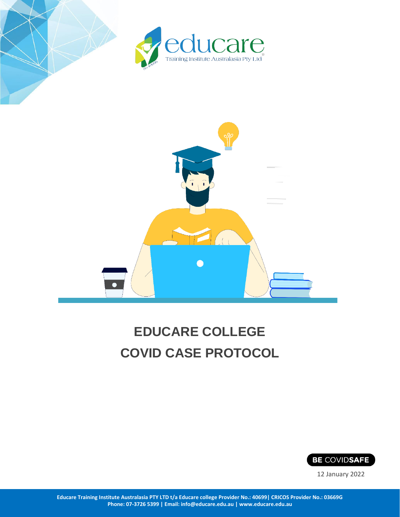



# **EDUCARE COLLEGE COVID CASE PROTOCOL**



12 January 2022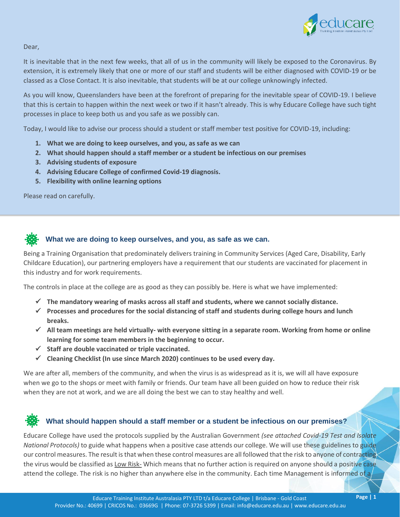

Dear,

It is inevitable that in the next few weeks, that all of us in the community will likely be exposed to the Coronavirus. By extension, it is extremely likely that one or more of our staff and students will be either diagnosed with COVID-19 or be classed as a Close Contact. It is also inevitable, that students will be at our college unknowingly infected.

As you will know, Queenslanders have been at the forefront of preparing for the inevitable spear of COVID-19. I believe that this is certain to happen within the next week or two if it hasn't already. This is why Educare College have such tight processes in place to keep both us and you safe as we possibly can.

Today, I would like to advise our process should a student or staff member test positive for COVID-19, including:

- **1. What we are doing to keep ourselves, and you, as safe as we can**
- **2. What should happen should a staff member or a student be infectious on our premises**
- **3. Advising students of exposure**
- **4. Advising Educare College of confirmed Covid-19 diagnosis.**
- **5. Flexibility with online learning options**

Please read on carefully.



## **What we are doing to keep ourselves, and you, as safe as we can.**

Being a Training Organisation that predominately delivers training in Community Services (Aged Care, Disability, Early Childcare Education), our partnering employers have a requirement that our students are vaccinated for placement in this industry and for work requirements.

The controls in place at the college are as good as they can possibly be. Here is what we have implemented:

- ✓ **The mandatory wearing of masks across all staff and students, where we cannot socially distance.**
- ✓ **Processes and procedures for the social distancing of staff and students during college hours and lunch breaks.**
- ✓ **All team meetings are held virtually- with everyone sitting in a separate room. Working from home or online learning for some team members in the beginning to occur.**
- ✓ **Staff are double vaccinated or triple vaccinated.**
- ✓ **Cleaning Checklist (In use since March 2020) continues to be used every day.**

We are after all, members of the community, and when the virus is as widespread as it is, we will all have exposure when we go to the shops or meet with family or friends. Our team have all been guided on how to reduce their risk when they are not at work, and we are all doing the best we can to stay healthy and well.

## **What should happen should a staff member or a student be infectious on our premises?**

Educare College have used the protocols supplied by the Australian Government *(see attached Covid-19 Test and Isolate National Protocols)* to guide what happens when a positive case attends our college. We will use these guidelines to guide our control measures. The result is that when these control measures are all followed that the risk to anyone of contracting the virus would be classified as Low Risk- Which means that no further action is required on anyone should a positive case attend the college. The risk is no higher than anywhere else in the community. Each time Management is informed of a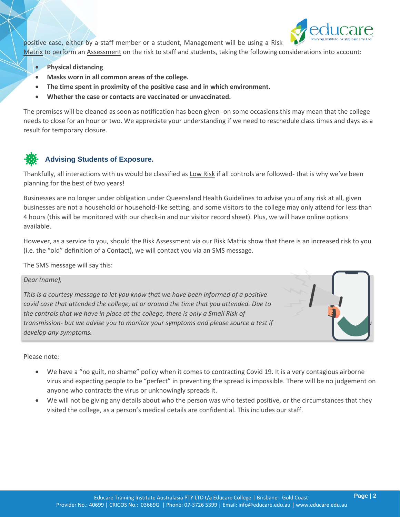

positive case, either by a staff member or a student, Management will be using a Risk

Matrix to perform an Assessment on the risk to staff and students, taking the following considerations into account:

- **Physical distancing**
- **Masks worn in all common areas of the college.**
- **The time spent in proximity of the positive case and in which environment.**
- **Whether the case or contacts are vaccinated or unvaccinated.**

The premises will be cleaned as soon as notification has been given- on some occasions this may mean that the college needs to close for an hour or two. We appreciate your understanding if we need to reschedule class times and days as a result for temporary closure.

## **Advising Students of Exposure.**

Thankfully, all interactions with us would be classified as Low Risk if all controls are followed- that is why we've been planning for the best of two years!

Businesses are no longer under obligation under Queensland Health Guidelines to advise you of any risk at all, given businesses are not a household or household-like setting, and some visitors to the college may only attend for less than 4 hours (this will be monitored with our check-in and our visitor record sheet). Plus, we will have online options available.

However, as a service to you, should the Risk Assessment via our Risk Matrix show that there is an increased risk to you (i.e. the "old" definition of a Contact), we will contact you via an SMS message.

The SMS message will say this:

*Dear (name),* 

*This is a courtesy message to let you know that we have been informed of a positive covid case that attended the college, at or around the time that you attended. Due to the controls that we have in place at the college, there is only a Small Risk of transmission- but we advise you to monitor your symptoms and please source a test if you develop any symptoms.*

#### Please note*:*

- We have a "no guilt, no shame" policy when it comes to contracting Covid 19. It is a very contagious airborne virus and expecting people to be "perfect" in preventing the spread is impossible. There will be no judgement on anyone who contracts the virus or unknowingly spreads it.
- We will not be giving any details about who the person was who tested positive, or the circumstances that they visited the college, as a person's medical details are confidential. This includes our staff.